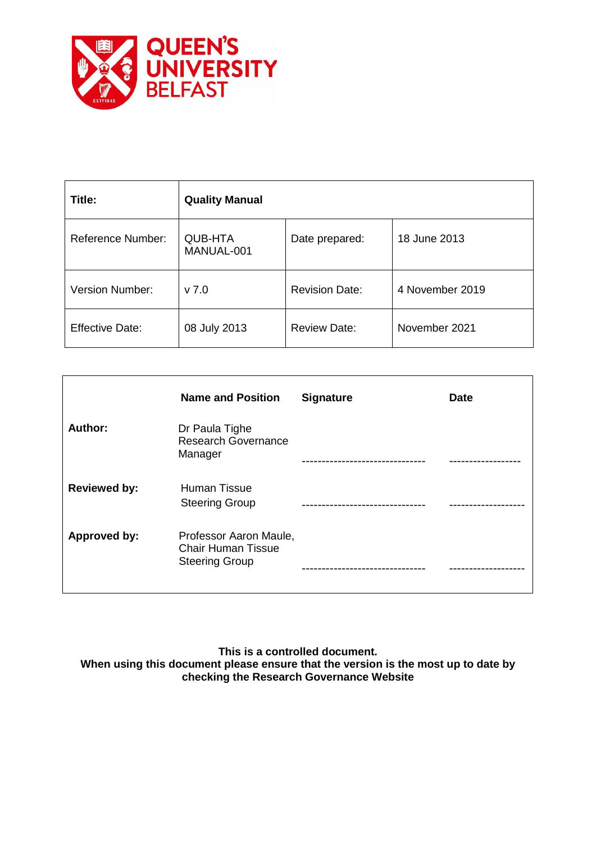

| Title:                   | <b>Quality Manual</b>        |                       |                 |
|--------------------------|------------------------------|-----------------------|-----------------|
| <b>Reference Number:</b> | <b>QUB-HTA</b><br>MANUAL-001 | Date prepared:        | 18 June 2013    |
| <b>Version Number:</b>   | $v$ 7.0                      | <b>Revision Date:</b> | 4 November 2019 |
| <b>Effective Date:</b>   | 08 July 2013                 | <b>Review Date:</b>   | November 2021   |

|                     | <b>Name and Position</b>                                                     | <b>Signature</b>    | <b>Date</b> |
|---------------------|------------------------------------------------------------------------------|---------------------|-------------|
| Author:             | Dr Paula Tighe<br><b>Research Governance</b><br>Manager                      | ------------------- |             |
| <b>Reviewed by:</b> | Human Tissue<br><b>Steering Group</b>                                        |                     |             |
| Approved by:        | Professor Aaron Maule,<br><b>Chair Human Tissue</b><br><b>Steering Group</b> |                     |             |

**This is a controlled document.**

**When using this document please ensure that the version is the most up to date by checking the Research Governance Website**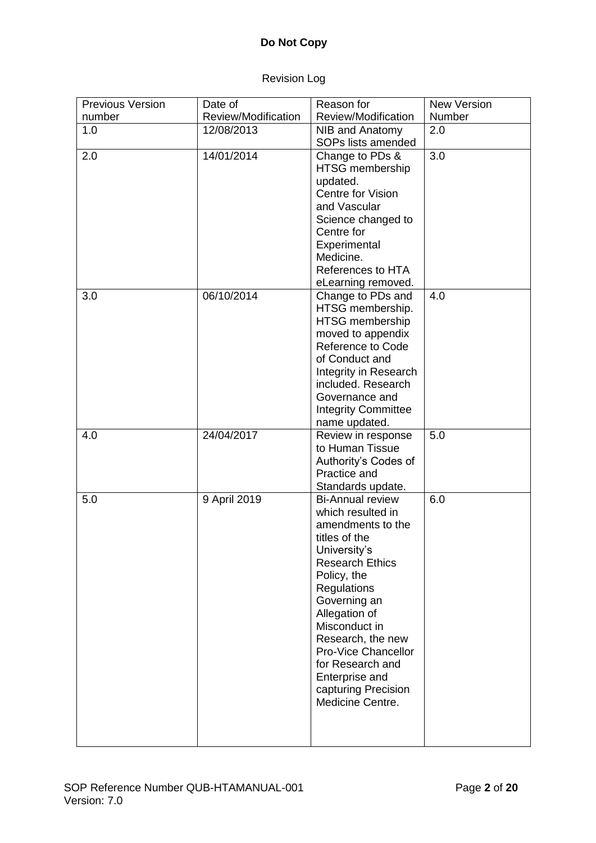# Revision Log

| <b>Previous Version</b> | Date of             | Reason for                                   | <b>New Version</b> |
|-------------------------|---------------------|----------------------------------------------|--------------------|
| number                  | Review/Modification | Review/Modification                          | Number             |
| 1.0                     | 12/08/2013          | NIB and Anatomy                              | 2.0                |
|                         |                     | SOPs lists amended                           |                    |
| 2.0                     | 14/01/2014          | Change to PDs &                              | 3.0                |
|                         |                     | <b>HTSG</b> membership                       |                    |
|                         |                     | updated.                                     |                    |
|                         |                     | Centre for Vision                            |                    |
|                         |                     | and Vascular                                 |                    |
|                         |                     | Science changed to                           |                    |
|                         |                     | Centre for                                   |                    |
|                         |                     | Experimental<br>Medicine.                    |                    |
|                         |                     | References to HTA                            |                    |
|                         |                     | eLearning removed.                           |                    |
| 3.0                     | 06/10/2014          | Change to PDs and                            | 4.0                |
|                         |                     | HTSG membership.                             |                    |
|                         |                     | <b>HTSG</b> membership                       |                    |
|                         |                     | moved to appendix                            |                    |
|                         |                     | <b>Reference to Code</b>                     |                    |
|                         |                     | of Conduct and                               |                    |
|                         |                     | Integrity in Research                        |                    |
|                         |                     | included. Research                           |                    |
|                         |                     | Governance and                               |                    |
|                         |                     | <b>Integrity Committee</b>                   |                    |
|                         |                     | name updated.                                |                    |
| 4.0                     | 24/04/2017          | Review in response                           | 5.0                |
|                         |                     | to Human Tissue                              |                    |
|                         |                     | Authority's Codes of                         |                    |
|                         |                     | Practice and                                 |                    |
|                         |                     | Standards update.                            | 6.0                |
| 5.0                     | 9 April 2019        | <b>Bi-Annual review</b><br>which resulted in |                    |
|                         |                     | amendments to the                            |                    |
|                         |                     | titles of the                                |                    |
|                         |                     | University's                                 |                    |
|                         |                     | <b>Research Ethics</b>                       |                    |
|                         |                     | Policy, the                                  |                    |
|                         |                     | Regulations                                  |                    |
|                         |                     | Governing an                                 |                    |
|                         |                     | Allegation of                                |                    |
|                         |                     | Misconduct in                                |                    |
|                         |                     | Research, the new                            |                    |
|                         |                     | Pro-Vice Chancellor                          |                    |
|                         |                     | for Research and                             |                    |
|                         |                     | Enterprise and                               |                    |
|                         |                     | capturing Precision                          |                    |
|                         |                     | Medicine Centre.                             |                    |
|                         |                     |                                              |                    |
|                         |                     |                                              |                    |
|                         |                     |                                              |                    |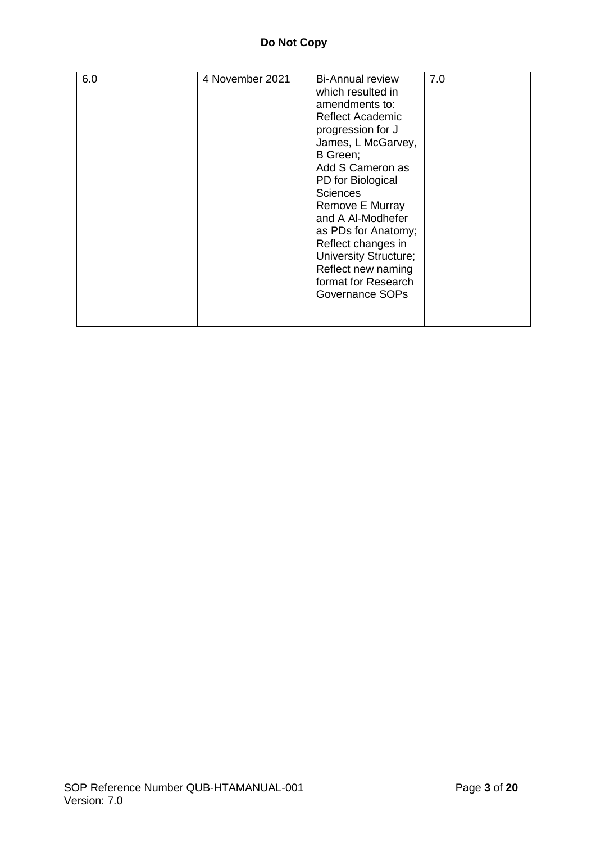| 6.0 | 4 November 2021 | <b>Bi-Annual review</b><br>which resulted in<br>amendments to:<br><b>Reflect Academic</b><br>progression for J<br>James, L McGarvey,<br>B Green;<br>Add S Cameron as<br>PD for Biological<br><b>Sciences</b><br>Remove E Murray<br>and A Al-Modhefer<br>as PDs for Anatomy;<br>Reflect changes in<br><b>University Structure;</b><br>Reflect new naming<br>format for Research<br>Governance SOPs | 7.0 |
|-----|-----------------|---------------------------------------------------------------------------------------------------------------------------------------------------------------------------------------------------------------------------------------------------------------------------------------------------------------------------------------------------------------------------------------------------|-----|
|-----|-----------------|---------------------------------------------------------------------------------------------------------------------------------------------------------------------------------------------------------------------------------------------------------------------------------------------------------------------------------------------------------------------------------------------------|-----|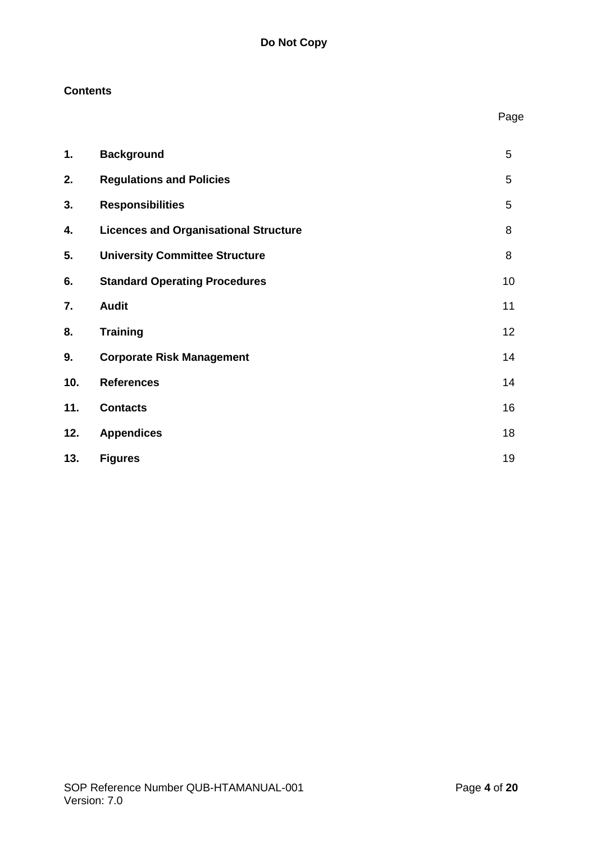# **Contents**

|     |                                              | Page |
|-----|----------------------------------------------|------|
| 1.  | <b>Background</b>                            | 5    |
| 2.  | <b>Regulations and Policies</b>              | 5    |
| 3.  | <b>Responsibilities</b>                      | 5    |
| 4.  | <b>Licences and Organisational Structure</b> | 8    |
| 5.  | <b>University Committee Structure</b>        | 8    |
| 6.  | <b>Standard Operating Procedures</b>         | 10   |
| 7.  | <b>Audit</b>                                 | 11   |
| 8.  | <b>Training</b>                              | 12   |
| 9.  | <b>Corporate Risk Management</b>             | 14   |
| 10. | <b>References</b>                            | 14   |
| 11. | <b>Contacts</b>                              | 16   |
| 12. | <b>Appendices</b>                            | 18   |
| 13. | <b>Figures</b>                               | 19   |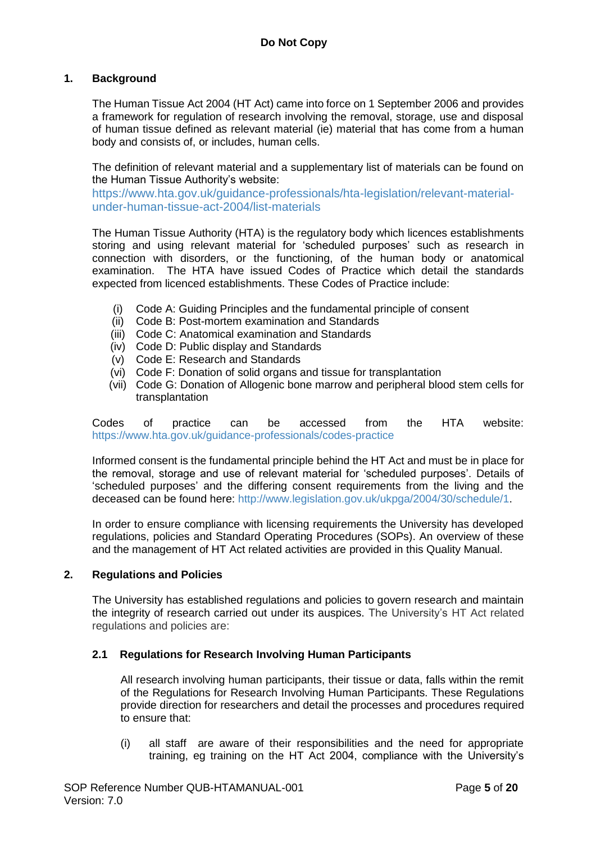# **1. Background**

The Human Tissue Act 2004 (HT Act) came into force on 1 September 2006 and provides a framework for regulation of research involving the removal, storage, use and disposal of human tissue defined as relevant material (ie) material that has come from a human body and consists of, or includes, human cells.

The definition of relevant material and a supplementary list of materials can be found on the Human Tissue Authority's website:

[https://www.hta.gov.uk/guidance-professionals/hta-legislation/relevant-material](https://www.hta.gov.uk/guidance-professionals/hta-legislation/relevant-material-under-human-tissue-act-2004/list-materials)[under-human-tissue-act-2004/list-materials](https://www.hta.gov.uk/guidance-professionals/hta-legislation/relevant-material-under-human-tissue-act-2004/list-materials)

The Human Tissue Authority (HTA) is the regulatory body which licences establishments storing and using relevant material for 'scheduled purposes' such as research in connection with disorders, or the functioning, of the human body or anatomical examination. The HTA have issued Codes of Practice which detail the standards expected from licenced establishments. These Codes of Practice include:

- (i) Code A: Guiding Principles and the fundamental principle of consent
- (ii) Code B: Post-mortem examination and Standards
- (iii) Code C: Anatomical examination and Standards
- (iv) Code D: Public display and Standards
- (v) Code E: Research and Standards
- (vi) Code F: Donation of solid organs and tissue for transplantation
- (vii) Code G: Donation of Allogenic bone marrow and peripheral blood stem cells for transplantation

Codes of practice can be accessed from the HTA website: <https://www.hta.gov.uk/guidance-professionals/codes-practice>

Informed consent is the fundamental principle behind the HT Act and must be in place for the removal, storage and use of relevant material for 'scheduled purposes'. Details of 'scheduled purposes' and the differing consent requirements from the living and the deceased can be found here: [http://www.legislation.gov.uk/ukpga/2004/30/schedule/1.](http://www.legislation.gov.uk/ukpga/2004/30/schedule/1)

In order to ensure compliance with licensing requirements the University has developed regulations, policies and Standard Operating Procedures (SOPs). An overview of these and the management of HT Act related activities are provided in this Quality Manual.

### **2. Regulations and Policies**

The University has established regulations and policies to govern research and maintain the integrity of research carried out under its auspices. The University's HT Act related regulations and policies are:

# **2.1 Regulations for Research Involving Human Participants**

All research involving human participants, their tissue or data, falls within the remit of the Regulations for Research Involving Human Participants. These Regulations provide direction for researchers and detail the processes and procedures required to ensure that:

(i) all staff are aware of their responsibilities and the need for appropriate training, eg training on the HT Act 2004, compliance with the University's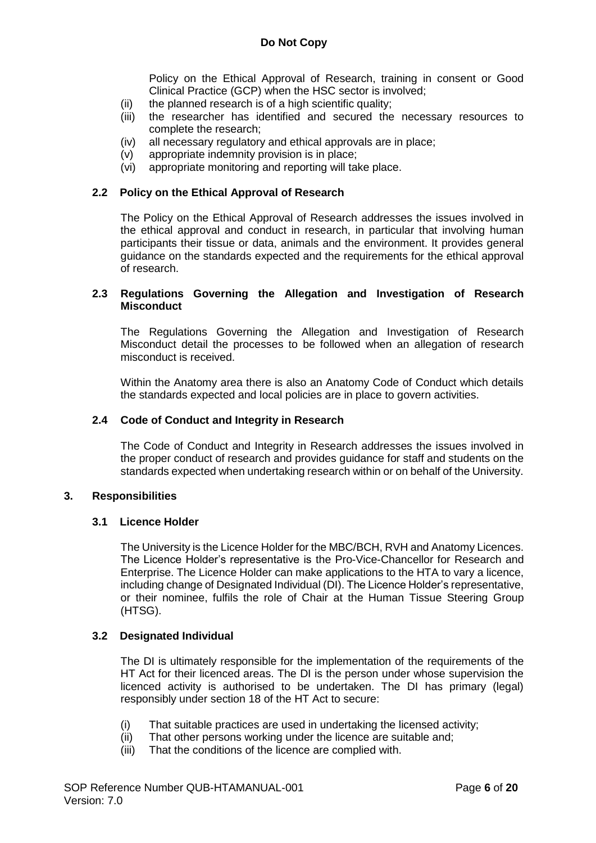Policy on the Ethical Approval of Research, training in consent or Good Clinical Practice (GCP) when the HSC sector is involved;

- (ii) the planned research is of a high scientific quality;
- (iii) the researcher has identified and secured the necessary resources to complete the research;
- (iv) all necessary regulatory and ethical approvals are in place;
- (v) appropriate indemnity provision is in place;
- (vi) appropriate monitoring and reporting will take place.

#### **2.2 Policy on the Ethical Approval of Research**

The Policy on the Ethical Approval of Research addresses the issues involved in the ethical approval and conduct in research, in particular that involving human participants their tissue or data, animals and the environment. It provides general guidance on the standards expected and the requirements for the ethical approval of research.

#### **2.3 Regulations Governing the Allegation and Investigation of Research Misconduct**

The Regulations Governing the Allegation and Investigation of Research Misconduct detail the processes to be followed when an allegation of research misconduct is received.

Within the Anatomy area there is also an Anatomy Code of Conduct which details the standards expected and local policies are in place to govern activities.

#### **2.4 Code of Conduct and Integrity in Research**

The Code of Conduct and Integrity in Research addresses the issues involved in the proper conduct of research and provides guidance for staff and students on the standards expected when undertaking research within or on behalf of the University.

#### **3. Responsibilities**

#### **3.1 Licence Holder**

The University is the Licence Holder for the MBC/BCH, RVH and Anatomy Licences. The Licence Holder's representative is the Pro-Vice-Chancellor for Research and Enterprise. The Licence Holder can make applications to the HTA to vary a licence, including change of Designated Individual (DI). The Licence Holder's representative, or their nominee, fulfils the role of Chair at the Human Tissue Steering Group (HTSG).

#### **3.2 Designated Individual**

The DI is ultimately responsible for the implementation of the requirements of the HT Act for their licenced areas. The DI is the person under whose supervision the licenced activity is authorised to be undertaken. The DI has primary (legal) responsibly under section 18 of the HT Act to secure:

- (i) That suitable practices are used in undertaking the licensed activity;
- (ii) That other persons working under the licence are suitable and;
- (iii) That the conditions of the licence are complied with.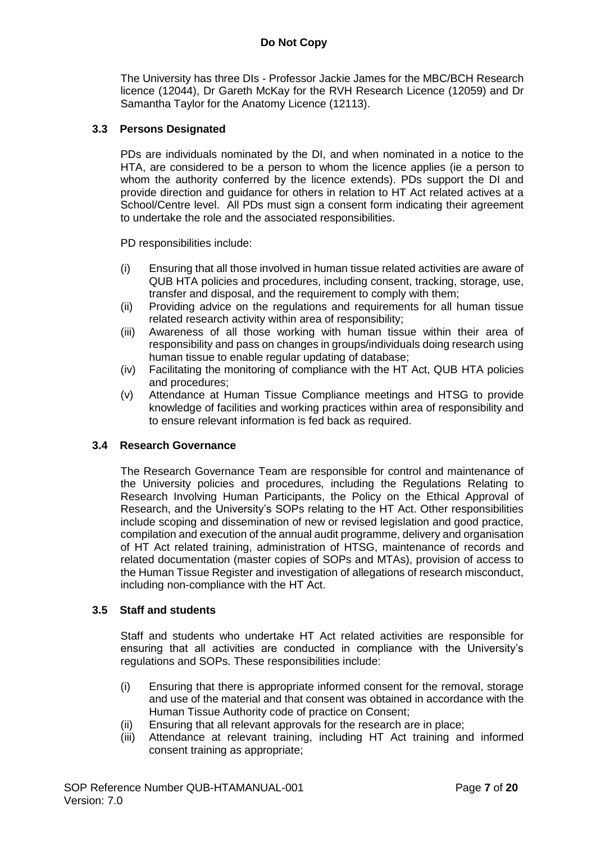The University has three DIs - Professor Jackie James for the MBC/BCH Research licence (12044), Dr Gareth McKay for the RVH Research Licence (12059) and Dr Samantha Taylor for the Anatomy Licence (12113).

### **3.3 Persons Designated**

PDs are individuals nominated by the DI, and when nominated in a notice to the HTA, are considered to be a person to whom the licence applies (ie a person to whom the authority conferred by the licence extends). PDs support the DI and provide direction and guidance for others in relation to HT Act related actives at a School/Centre level. All PDs must sign a consent form indicating their agreement to undertake the role and the associated responsibilities.

PD responsibilities include:

- (i) Ensuring that all those involved in human tissue related activities are aware of QUB HTA policies and procedures, including consent, tracking, storage, use, transfer and disposal, and the requirement to comply with them;
- (ii) Providing advice on the regulations and requirements for all human tissue related research activity within area of responsibility;
- (iii) Awareness of all those working with human tissue within their area of responsibility and pass on changes in groups/individuals doing research using human tissue to enable regular updating of database;
- (iv) Facilitating the monitoring of compliance with the HT Act, QUB HTA policies and procedures;
- (v) Attendance at Human Tissue Compliance meetings and HTSG to provide knowledge of facilities and working practices within area of responsibility and to ensure relevant information is fed back as required.

# **3.4 Research Governance**

The Research Governance Team are responsible for control and maintenance of the University policies and procedures, including the Regulations Relating to Research Involving Human Participants, the Policy on the Ethical Approval of Research, and the University's SOPs relating to the HT Act. Other responsibilities include scoping and dissemination of new or revised legislation and good practice, compilation and execution of the annual audit programme, delivery and organisation of HT Act related training, administration of HTSG, maintenance of records and related documentation (master copies of SOPs and MTAs), provision of access to the Human Tissue Register and investigation of allegations of research misconduct, including non-compliance with the HT Act.

#### **3.5 Staff and students**

Staff and students who undertake HT Act related activities are responsible for ensuring that all activities are conducted in compliance with the University's regulations and SOPs. These responsibilities include:

- (i) Ensuring that there is appropriate informed consent for the removal, storage and use of the material and that consent was obtained in accordance with the Human Tissue Authority code of practice on Consent;
- (ii) Ensuring that all relevant approvals for the research are in place;
- (iii) Attendance at relevant training, including HT Act training and informed consent training as appropriate;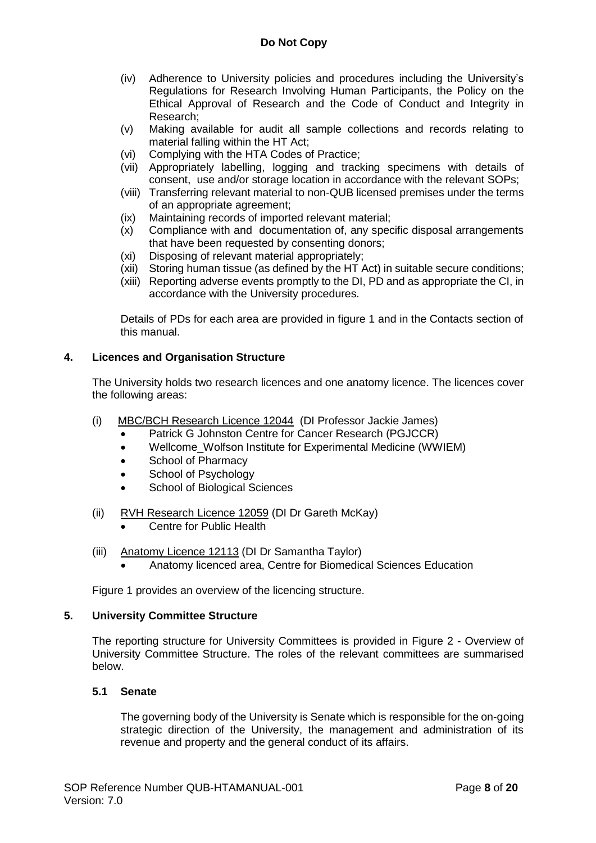- (iv) Adherence to University policies and procedures including the University's Regulations for Research Involving Human Participants, the Policy on the Ethical Approval of Research and the Code of Conduct and Integrity in Research;
- (v) Making available for audit all sample collections and records relating to material falling within the HT Act;
- (vi) Complying with the HTA Codes of Practice;
- (vii) Appropriately labelling, logging and tracking specimens with details of consent, use and/or storage location in accordance with the relevant SOPs;
- (viii) Transferring relevant material to non-QUB licensed premises under the terms of an appropriate agreement;
- (ix) Maintaining records of imported relevant material;
- (x) Compliance with and documentation of, any specific disposal arrangements that have been requested by consenting donors;
- (xi) Disposing of relevant material appropriately;
- (xii) Storing human tissue (as defined by the HT Act) in suitable secure conditions;
- (xiii) Reporting adverse events promptly to the DI, PD and as appropriate the CI, in accordance with the University procedures.

Details of PDs for each area are provided in figure 1 and in the Contacts section of this manual.

# **4. Licences and Organisation Structure**

The University holds two research licences and one anatomy licence. The licences cover the following areas:

- (i) MBC/BCH Research Licence 12044 (DI Professor Jackie James)
	- Patrick G Johnston Centre for Cancer Research (PGJCCR)
	- Wellcome Wolfson Institute for Experimental Medicine (WWIEM)
	- School of Pharmacy
	- School of Psychology
	- School of Biological Sciences
- (ii) RVH Research Licence 12059 (DI Dr Gareth McKay)
	- Centre for Public Health
- (iii) Anatomy Licence 12113 (DI Dr Samantha Taylor)
	- Anatomy licenced area, Centre for Biomedical Sciences Education

Figure 1 provides an overview of the licencing structure.

#### **5. University Committee Structure**

The reporting structure for University Committees is provided in Figure 2 - Overview of University Committee Structure. The roles of the relevant committees are summarised below.

# **5.1 Senate**

The governing body of the University is Senate which is responsible for the on-going strategic direction of the University, the management and administration of its revenue and property and the general conduct of its affairs.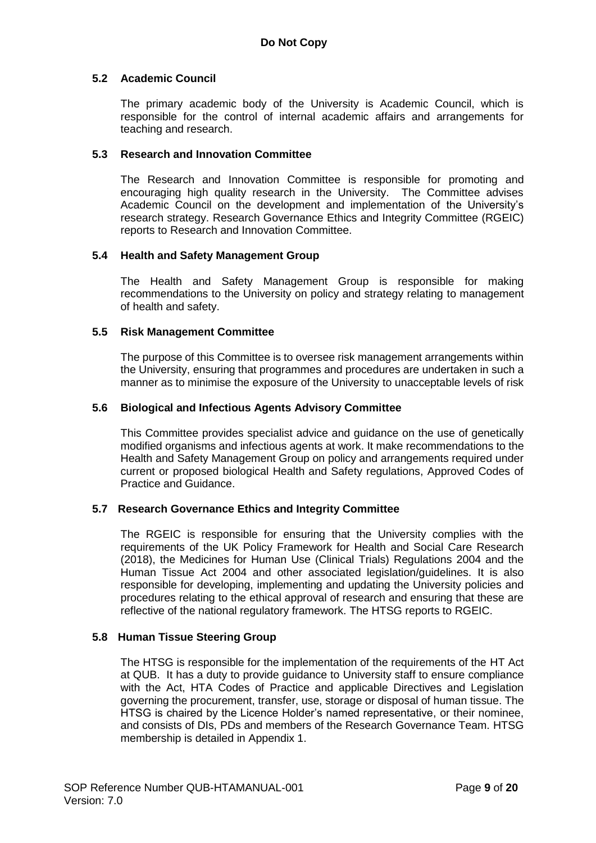# **5.2 Academic Council**

The primary academic body of the University is Academic Council, which is responsible for the control of internal academic affairs and arrangements for teaching and research.

# **5.3 Research and Innovation Committee**

The Research and Innovation Committee is responsible for promoting and encouraging high quality research in the University. The Committee advises Academic Council on the development and implementation of the University's research strategy. Research Governance Ethics and Integrity Committee (RGEIC) reports to Research and Innovation Committee.

# **5.4 Health and Safety Management Group**

The Health and Safety Management Group is responsible for making recommendations to the University on policy and strategy relating to management of health and safety.

# **5.5 Risk Management Committee**

The purpose of this Committee is to oversee risk management arrangements within the University, ensuring that programmes and procedures are undertaken in such a manner as to minimise the exposure of the University to unacceptable levels of risk

# **5.6 Biological and Infectious Agents Advisory Committee**

This Committee provides specialist advice and guidance on the use of genetically modified organisms and infectious agents at work. It make recommendations to the Health and Safety Management Group on policy and arrangements required under current or proposed biological Health and Safety regulations, Approved Codes of Practice and Guidance.

# **5.7 Research Governance Ethics and Integrity Committee**

The RGEIC is responsible for ensuring that the University complies with the requirements of the UK Policy Framework for Health and Social Care Research (2018), the Medicines for Human Use (Clinical Trials) Regulations 2004 and the Human Tissue Act 2004 and other associated legislation/guidelines. It is also responsible for developing, implementing and updating the University policies and procedures relating to the ethical approval of research and ensuring that these are reflective of the national regulatory framework. The HTSG reports to RGEIC.

# **5.8 Human Tissue Steering Group**

The HTSG is responsible for the implementation of the requirements of the HT Act at QUB. It has a duty to provide guidance to University staff to ensure compliance with the Act, HTA Codes of Practice and applicable Directives and Legislation governing the procurement, transfer, use, storage or disposal of human tissue. The HTSG is chaired by the Licence Holder's named representative, or their nominee, and consists of DIs, PDs and members of the Research Governance Team. HTSG membership is detailed in Appendix 1.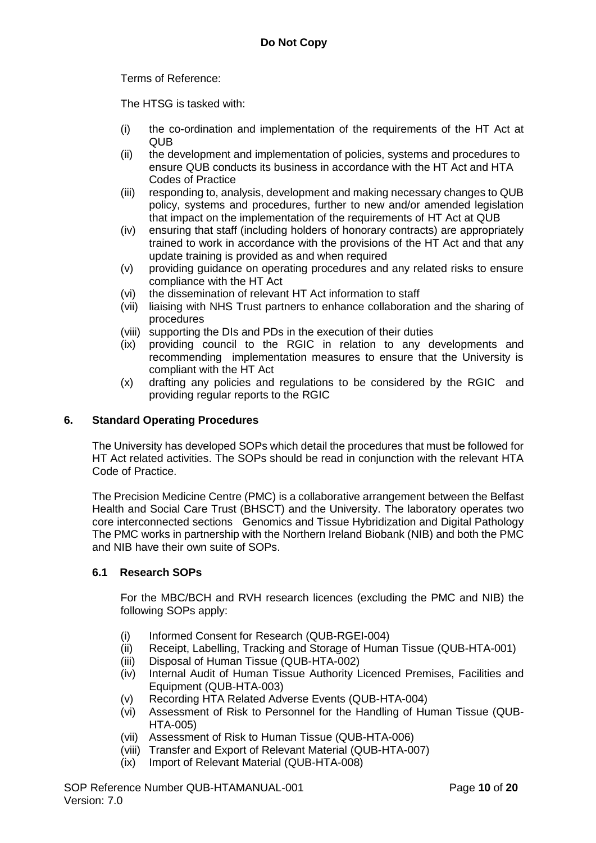Terms of Reference:

The HTSG is tasked with:

- (i) the co-ordination and implementation of the requirements of the HT Act at QUB
- (ii) the development and implementation of policies, systems and procedures to ensure QUB conducts its business in accordance with the HT Act and HTA Codes of Practice
- (iii) responding to, analysis, development and making necessary changes to QUB policy, systems and procedures, further to new and/or amended legislation that impact on the implementation of the requirements of HT Act at QUB
- (iv) ensuring that staff (including holders of honorary contracts) are appropriately trained to work in accordance with the provisions of the HT Act and that any update training is provided as and when required
- (v) providing guidance on operating procedures and any related risks to ensure compliance with the HT Act
- (vi) the dissemination of relevant HT Act information to staff
- (vii) liaising with NHS Trust partners to enhance collaboration and the sharing of procedures
- (viii) supporting the DIs and PDs in the execution of their duties
- (ix) providing council to the RGIC in relation to any developments and recommending implementation measures to ensure that the University is compliant with the HT Act
- (x) drafting any policies and regulations to be considered by the RGIC and providing regular reports to the RGIC

# **6. Standard Operating Procedures**

The University has developed SOPs which detail the procedures that must be followed for HT Act related activities. The SOPs should be read in conjunction with the relevant HTA Code of Practice.

The Precision Medicine Centre (PMC) is a collaborative arrangement between the Belfast Health and Social Care Trust (BHSCT) and the University. The laboratory operates two core interconnected sections Genomics and Tissue Hybridization and Digital Pathology The PMC works in partnership with the Northern Ireland Biobank (NIB) and both the PMC and NIB have their own suite of SOPs.

# **6.1 Research SOPs**

For the MBC/BCH and RVH research licences (excluding the PMC and NIB) the following SOPs apply:

- (i) Informed Consent for Research (QUB-RGEI-004)
- (ii) Receipt, Labelling, Tracking and Storage of Human Tissue (QUB-HTA-001)
- (iii) Disposal of Human Tissue (QUB-HTA-002)
- (iv) Internal Audit of Human Tissue Authority Licenced Premises, Facilities and Equipment (QUB-HTA-003)
- (v) Recording HTA Related Adverse Events (QUB-HTA-004)
- (vi) Assessment of Risk to Personnel for the Handling of Human Tissue (QUB-HTA-005)
- (vii) Assessment of Risk to Human Tissue (QUB-HTA-006)
- (viii) Transfer and Export of Relevant Material (QUB-HTA-007)
- (ix) Import of Relevant Material (QUB-HTA-008)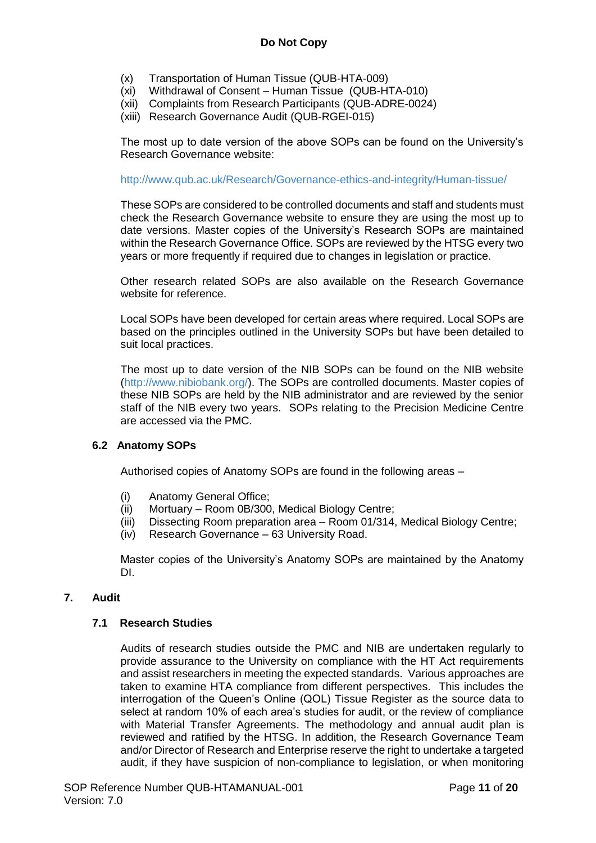- (x) Transportation of Human Tissue (QUB-HTA-009)
- Withdrawal of Consent Human Tissue (QUB-HTA-010)
- (xii) Complaints from Research Participants (QUB-ADRE-0024)
- (xiii) Research Governance Audit (QUB-RGEI-015)

The most up to date version of the above SOPs can be found on the University's Research Governance website:

<http://www.qub.ac.uk/Research/Governance-ethics-and-integrity/Human-tissue/>

These SOPs are considered to be controlled documents and staff and students must check the Research Governance website to ensure they are using the most up to date versions. Master copies of the University's Research SOPs are maintained within the Research Governance Office. SOPs are reviewed by the HTSG every two years or more frequently if required due to changes in legislation or practice.

Other research related SOPs are also available on the Research Governance website for reference.

Local SOPs have been developed for certain areas where required. Local SOPs are based on the principles outlined in the University SOPs but have been detailed to suit local practices.

The most up to date version of the NIB SOPs can be found on the NIB website [\(http://www.nibiobank.org/\)](http://www.nibiobank.org/). The SOPs are controlled documents. Master copies of these NIB SOPs are held by the NIB administrator and are reviewed by the senior staff of the NIB every two years. SOPs relating to the Precision Medicine Centre are accessed via the PMC.

# **6.2 Anatomy SOPs**

Authorised copies of Anatomy SOPs are found in the following areas –

- (i) Anatomy General Office;
- (ii) Mortuary Room 0B/300, Medical Biology Centre;
- (iii) Dissecting Room preparation area Room 01/314, Medical Biology Centre;
- (iv) Research Governance 63 University Road.

Master copies of the University's Anatomy SOPs are maintained by the Anatomy DI.

# **7. Audit**

# **7.1 Research Studies**

Audits of research studies outside the PMC and NIB are undertaken regularly to provide assurance to the University on compliance with the HT Act requirements and assist researchers in meeting the expected standards. Various approaches are taken to examine HTA compliance from different perspectives. This includes the interrogation of the Queen's Online (QOL) Tissue Register as the source data to select at random 10% of each area's studies for audit, or the review of compliance with Material Transfer Agreements. The methodology and annual audit plan is reviewed and ratified by the HTSG. In addition, the Research Governance Team and/or Director of Research and Enterprise reserve the right to undertake a targeted audit, if they have suspicion of non-compliance to legislation, or when monitoring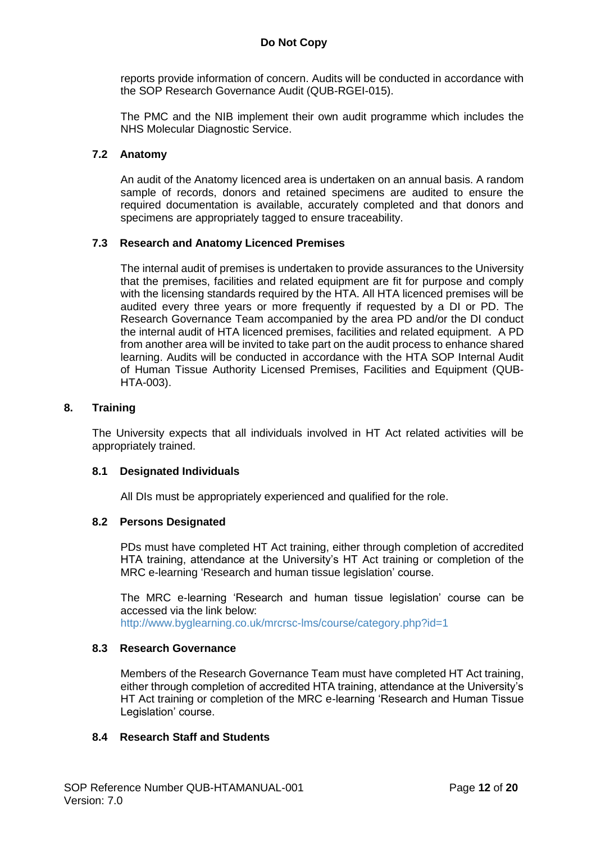reports provide information of concern. Audits will be conducted in accordance with the SOP Research Governance Audit (QUB-RGEI-015).

The PMC and the NIB implement their own audit programme which includes the NHS Molecular Diagnostic Service.

### **7.2 Anatomy**

An audit of the Anatomy licenced area is undertaken on an annual basis. A random sample of records, donors and retained specimens are audited to ensure the required documentation is available, accurately completed and that donors and specimens are appropriately tagged to ensure traceability.

#### **7.3 Research and Anatomy Licenced Premises**

The internal audit of premises is undertaken to provide assurances to the University that the premises, facilities and related equipment are fit for purpose and comply with the licensing standards required by the HTA. All HTA licenced premises will be audited every three years or more frequently if requested by a DI or PD. The Research Governance Team accompanied by the area PD and/or the DI conduct the internal audit of HTA licenced premises, facilities and related equipment. A PD from another area will be invited to take part on the audit process to enhance shared learning. Audits will be conducted in accordance with the HTA SOP Internal Audit of Human Tissue Authority Licensed Premises, Facilities and Equipment (QUB-HTA-003).

#### **8. Training**

The University expects that all individuals involved in HT Act related activities will be appropriately trained.

#### **8.1 Designated Individuals**

All DIs must be appropriately experienced and qualified for the role.

#### **8.2 Persons Designated**

PDs must have completed HT Act training, either through completion of accredited HTA training, attendance at the University's HT Act training or completion of the MRC e-learning 'Research and human tissue legislation' course.

The MRC e-learning 'Research and human tissue legislation' course can be accessed via the link below:

<http://www.byglearning.co.uk/mrcrsc-lms/course/category.php?id=1>

#### **8.3 Research Governance**

Members of the Research Governance Team must have completed HT Act training, either through completion of accredited HTA training, attendance at the University's HT Act training or completion of the MRC e-learning 'Research and Human Tissue Legislation' course.

#### **8.4 Research Staff and Students**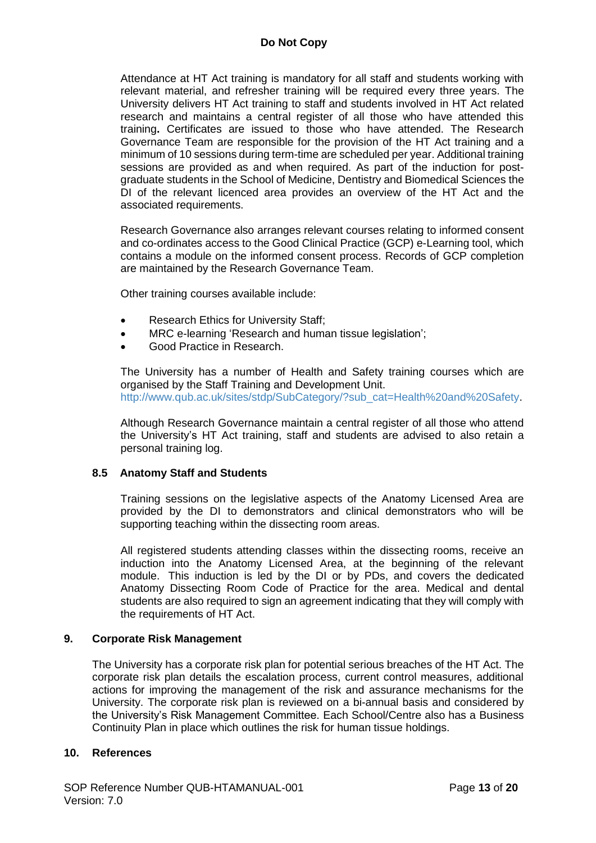Attendance at HT Act training is mandatory for all staff and students working with relevant material, and refresher training will be required every three years. The University delivers HT Act training to staff and students involved in HT Act related research and maintains a central register of all those who have attended this training**.** Certificates are issued to those who have attended. The Research Governance Team are responsible for the provision of the HT Act training and a minimum of 10 sessions during term-time are scheduled per year. Additional training sessions are provided as and when required. As part of the induction for postgraduate students in the School of Medicine, Dentistry and Biomedical Sciences the DI of the relevant licenced area provides an overview of the HT Act and the associated requirements.

Research Governance also arranges relevant courses relating to informed consent and co-ordinates access to the Good Clinical Practice (GCP) e-Learning tool, which contains a module on the informed consent process. Records of GCP completion are maintained by the Research Governance Team.

Other training courses available include:

- Research Ethics for University Staff;
- MRC e-learning 'Research and human tissue legislation';
- Good Practice in Research.

The University has a number of Health and Safety training courses which are organised by the Staff Training and Development Unit. [http://www.qub.ac.uk/sites/stdp/SubCategory/?sub\\_cat=Health%20and%20Safety.](http://www.qub.ac.uk/sites/stdp/SubCategory/?sub_cat=Health%20and%20Safety)

Although Research Governance maintain a central register of all those who attend the University's HT Act training, staff and students are advised to also retain a personal training log.

# **8.5 Anatomy Staff and Students**

Training sessions on the legislative aspects of the Anatomy Licensed Area are provided by the DI to demonstrators and clinical demonstrators who will be supporting teaching within the dissecting room areas.

All registered students attending classes within the dissecting rooms, receive an induction into the Anatomy Licensed Area, at the beginning of the relevant module. This induction is led by the DI or by PDs, and covers the dedicated Anatomy Dissecting Room Code of Practice for the area. Medical and dental students are also required to sign an agreement indicating that they will comply with the requirements of HT Act.

# **9. Corporate Risk Management**

The University has a corporate risk plan for potential serious breaches of the HT Act. The corporate risk plan details the escalation process, current control measures, additional actions for improving the management of the risk and assurance mechanisms for the University. The corporate risk plan is reviewed on a bi-annual basis and considered by the University's Risk Management Committee. Each School/Centre also has a Business Continuity Plan in place which outlines the risk for human tissue holdings.

# **10. References**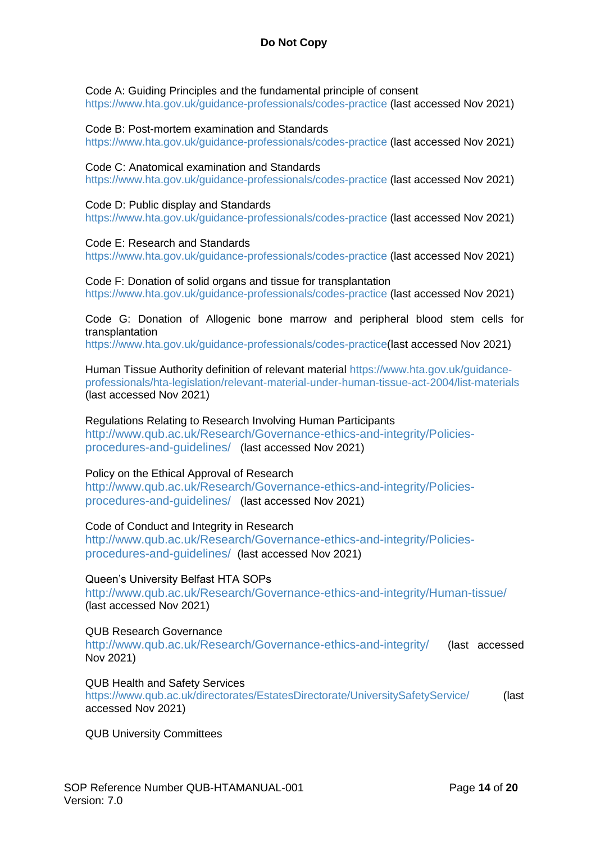Code A: Guiding Principles and the fundamental principle of consent <https://www.hta.gov.uk/guidance-professionals/codes-practice> (last accessed Nov 2021)

#### Code B: Post-mortem examination and Standards

<https://www.hta.gov.uk/guidance-professionals/codes-practice> (last accessed Nov 2021)

#### Code C: Anatomical examination and Standards

<https://www.hta.gov.uk/guidance-professionals/codes-practice> (last accessed Nov 2021)

#### Code D: Public display and Standards

<https://www.hta.gov.uk/guidance-professionals/codes-practice> (last accessed Nov 2021)

#### Code E: Research and Standards

<https://www.hta.gov.uk/guidance-professionals/codes-practice> (last accessed Nov 2021)

#### Code F: Donation of solid organs and tissue for transplantation

<https://www.hta.gov.uk/guidance-professionals/codes-practice> (last accessed Nov 2021)

Code G: Donation of Allogenic bone marrow and peripheral blood stem cells for transplantation

[https://www.hta.gov.uk/guidance-professionals/codes-practice\(](https://www.hta.gov.uk/guidance-professionals/codes-practice)last accessed Nov 2021)

Human Tissue Authority definition of relevant material [https://www.hta.gov.uk/guidance](https://www.hta.gov.uk/guidance-professionals/hta-legislation/relevant-material-under-human-tissue-act-2004/list-materials)[professionals/hta-legislation/relevant-material-under-human-tissue-act-2004/list-materials](https://www.hta.gov.uk/guidance-professionals/hta-legislation/relevant-material-under-human-tissue-act-2004/list-materials) (last accessed Nov 2021)

### Regulations Relating to Research Involving Human Participants

[http://www.qub.ac.uk/Research/Governance-ethics-and-integrity/Policies](http://www.qub.ac.uk/Research/Governance-ethics-and-integrity/Policies-procedures-and-guidelines/)[procedures-and-guidelines/](http://www.qub.ac.uk/Research/Governance-ethics-and-integrity/Policies-procedures-and-guidelines/) (last accessed Nov 2021)

# Policy on the Ethical Approval of Research

[http://www.qub.ac.uk/Research/Governance-ethics-and-integrity/Policies](http://www.qub.ac.uk/Research/Governance-ethics-and-integrity/Policies-procedures-and-guidelines/)[procedures-and-guidelines/](http://www.qub.ac.uk/Research/Governance-ethics-and-integrity/Policies-procedures-and-guidelines/) (last accessed Nov 2021)

#### Code of Conduct and Integrity in Research

[http://www.qub.ac.uk/Research/Governance-ethics-and-integrity/Policies](http://www.qub.ac.uk/Research/Governance-ethics-and-integrity/Policies-procedures-and-guidelines/)[procedures-and-guidelines/](http://www.qub.ac.uk/Research/Governance-ethics-and-integrity/Policies-procedures-and-guidelines/) (last accessed Nov 2021)

Queen's University Belfast HTA SOPs

<http://www.qub.ac.uk/Research/Governance-ethics-and-integrity/Human-tissue/> (last accessed Nov 2021)

# QUB Research Governance

<http://www.qub.ac.uk/Research/Governance-ethics-and-integrity/> (last accessed Nov 2021)

QUB Health and Safety Services

<https://www.qub.ac.uk/directorates/EstatesDirectorate/UniversitySafetyService/> (last accessed Nov 2021)

QUB University Committees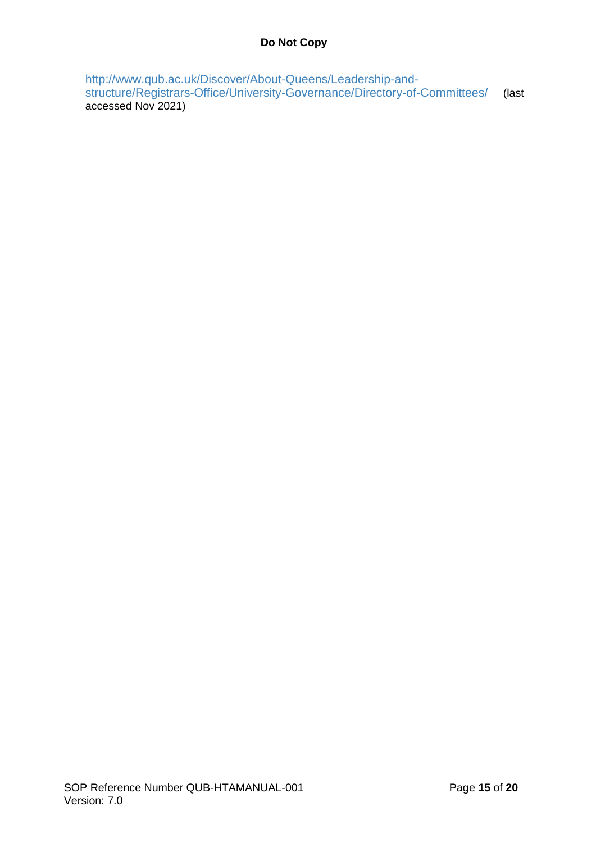[http://www.qub.ac.uk/Discover/About-Queens/Leadership-and](http://www.qub.ac.uk/Discover/About-Queens/Leadership-and-structure/Registrars-Office/University-Governance/Directory-of-Committees/)[structure/Registrars-Office/University-Governance/Directory-of-Committees/](http://www.qub.ac.uk/Discover/About-Queens/Leadership-and-structure/Registrars-Office/University-Governance/Directory-of-Committees/) (last accessed Nov 2021)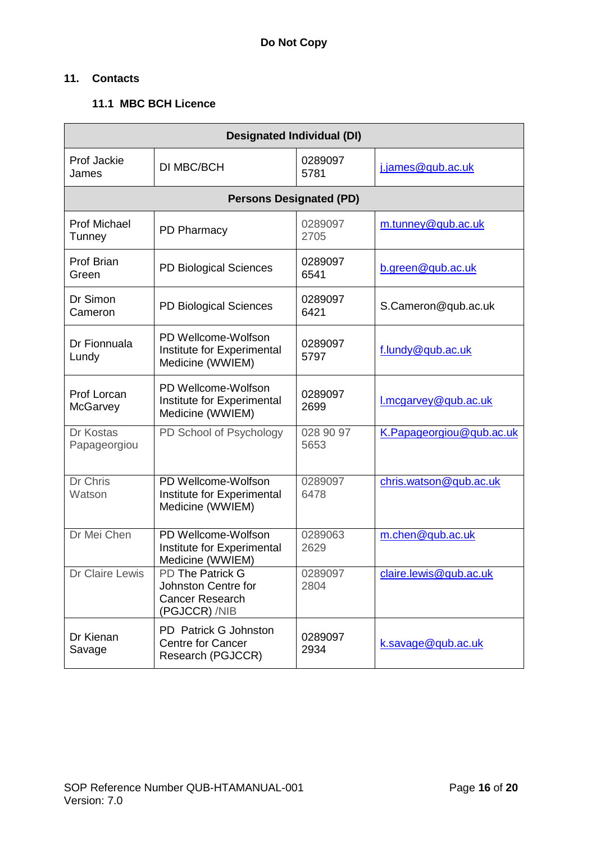# **11. Contacts**

# **11.1 MBC BCH Licence**

| <b>Designated Individual (DI)</b> |                                                                                    |                   |                          |
|-----------------------------------|------------------------------------------------------------------------------------|-------------------|--------------------------|
| Prof Jackie<br>James              | DI MBC/BCH                                                                         | 0289097<br>5781   | j.james@qub.ac.uk        |
|                                   | <b>Persons Designated (PD)</b>                                                     |                   |                          |
| <b>Prof Michael</b><br>Tunney     | PD Pharmacy                                                                        | 0289097<br>2705   | m.tunney@qub.ac.uk       |
| Prof Brian<br>Green               | PD Biological Sciences                                                             | 0289097<br>6541   | b.green@qub.ac.uk        |
| Dr Simon<br>Cameron               | PD Biological Sciences                                                             | 0289097<br>6421   | S.Cameron@qub.ac.uk      |
| Dr Fionnuala<br>Lundy             | PD Wellcome-Wolfson<br>Institute for Experimental<br>Medicine (WWIEM)              | 0289097<br>5797   | f.lundy@qub.ac.uk        |
| Prof Lorcan<br>McGarvey           | PD Wellcome-Wolfson<br>Institute for Experimental<br>Medicine (WWIEM)              | 0289097<br>2699   | l.mcgarvey@qub.ac.uk     |
| Dr Kostas<br>Papageorgiou         | PD School of Psychology                                                            | 028 90 97<br>5653 | K.Papageorgiou@qub.ac.uk |
| <b>Dr Chris</b><br>Watson         | PD Wellcome-Wolfson<br>Institute for Experimental<br>Medicine (WWIEM)              | 0289097<br>6478   | chris.watson@qub.ac.uk   |
| Dr Mei Chen                       | PD Wellcome-Wolfson<br>Institute for Experimental<br>Medicine (WWIEM)              | 0289063<br>2629   | m.chen@qub.ac.uk         |
| <b>Dr Claire Lewis</b>            | PD The Patrick G<br>Johnston Centre for<br><b>Cancer Research</b><br>(PGJCCR) /NIB | 0289097<br>2804   | claire.lewis@qub.ac.uk   |
| Dr Kienan<br>Savage               | PD Patrick G Johnston<br><b>Centre for Cancer</b><br>Research (PGJCCR)             | 0289097<br>2934   | k.savage@qub.ac.uk       |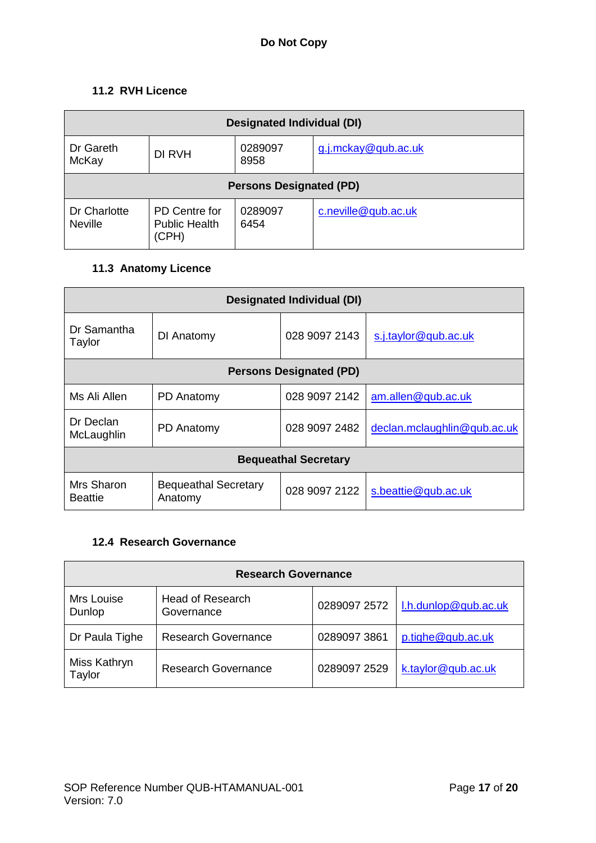# **11.2 RVH Licence**

| <b>Designated Individual (DI)</b> |                                                |                 |                     |
|-----------------------------------|------------------------------------------------|-----------------|---------------------|
| Dr Gareth<br>McKay                | DI RVH                                         | 0289097<br>8958 | g.j.mckay@qub.ac.uk |
| <b>Persons Designated (PD)</b>    |                                                |                 |                     |
| Dr Charlotte<br><b>Neville</b>    | PD Centre for<br><b>Public Health</b><br>(CPH) | 0289097<br>6454 | c.neville@qub.ac.uk |

# **11.3 Anatomy Licence**

| <b>Designated Individual (DI)</b> |                                        |               |                             |  |
|-----------------------------------|----------------------------------------|---------------|-----------------------------|--|
| Dr Samantha<br>Taylor             | DI Anatomy                             | 028 9097 2143 | s.j.taylor@qub.ac.uk        |  |
| <b>Persons Designated (PD)</b>    |                                        |               |                             |  |
| Ms Ali Allen                      | PD Anatomy                             | 028 9097 2142 | am.allen@qub.ac.uk          |  |
| Dr Declan<br>McLaughlin           | PD Anatomy                             | 028 9097 2482 | declan.mclaughlin@qub.ac.uk |  |
| <b>Bequeathal Secretary</b>       |                                        |               |                             |  |
| Mrs Sharon<br><b>Beattie</b>      | <b>Bequeathal Secretary</b><br>Anatomy | 028 9097 2122 | s.beattie@qub.ac.uk         |  |

# **12.4 Research Governance**

| <b>Research Governance</b> |                                       |              |                      |
|----------------------------|---------------------------------------|--------------|----------------------|
| Mrs Louise<br>Dunlop       | <b>Head of Research</b><br>Governance | 0289097 2572 | l.h.dunlop@qub.ac.uk |
| Dr Paula Tighe             | <b>Research Governance</b>            | 0289097 3861 | p.tighe@qub.ac.uk    |
| Miss Kathryn<br>Taylor     | <b>Research Governance</b>            | 0289097 2529 | k.taylor@qub.ac.uk   |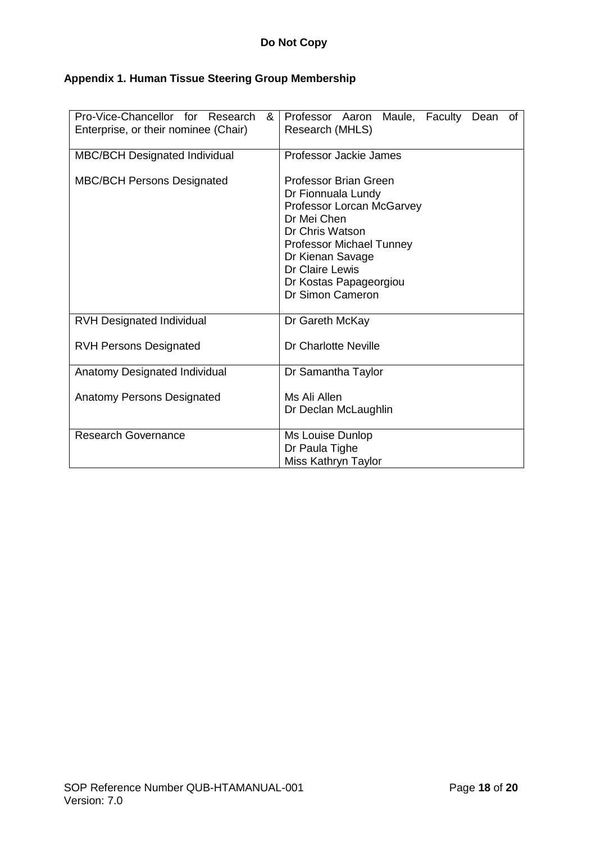# **Appendix 1. Human Tissue Steering Group Membership**

| Pro-Vice-Chancellor for Research<br>&<br>Enterprise, or their nominee (Chair) | Professor Aaron Maule, Faculty Dean of<br>Research (MHLS)                                                                                                                                                                          |
|-------------------------------------------------------------------------------|------------------------------------------------------------------------------------------------------------------------------------------------------------------------------------------------------------------------------------|
| <b>MBC/BCH Designated Individual</b>                                          | Professor Jackie James                                                                                                                                                                                                             |
| <b>MBC/BCH Persons Designated</b>                                             | Professor Brian Green<br>Dr Fionnuala Lundy<br>Professor Lorcan McGarvey<br>Dr Mei Chen<br>Dr Chris Watson<br><b>Professor Michael Tunney</b><br>Dr Kienan Savage<br>Dr Claire Lewis<br>Dr Kostas Papageorgiou<br>Dr Simon Cameron |
| <b>RVH Designated Individual</b>                                              | Dr Gareth McKay                                                                                                                                                                                                                    |
| <b>RVH Persons Designated</b>                                                 | Dr Charlotte Neville                                                                                                                                                                                                               |
| Anatomy Designated Individual                                                 | Dr Samantha Taylor                                                                                                                                                                                                                 |
| <b>Anatomy Persons Designated</b>                                             | Ms Ali Allen<br>Dr Declan McLaughlin                                                                                                                                                                                               |
| <b>Research Governance</b>                                                    | Ms Louise Dunlop<br>Dr Paula Tighe<br>Miss Kathryn Taylor                                                                                                                                                                          |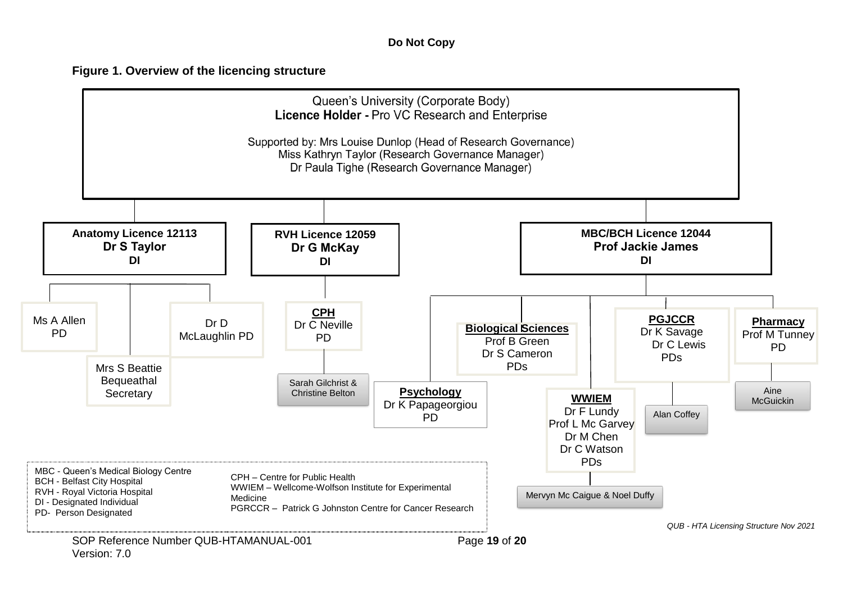# **Figure 1. Overview of the licencing structure**